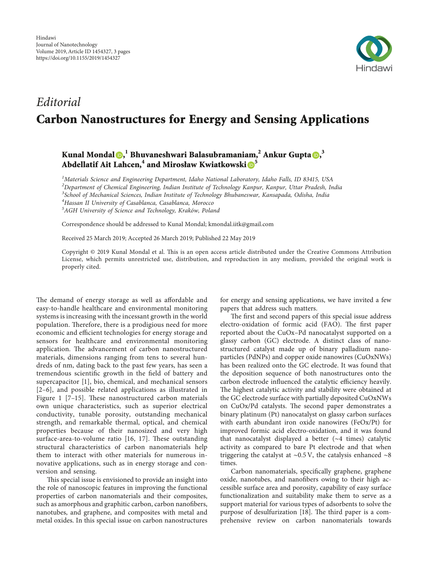

# Editorial Carbon Nanostructures for Energy and Sensing Applications

## Kunal Mondal $\bm{\odot}^{,1}_\cdot$  $\bm{\odot}^{,1}_\cdot$  $\bm{\odot}^{,1}_\cdot$ Bhuvaneshwari Balasubramaniam, $^2$  Ankur Gupta $\bm{\odot}^{,3}_\cdot$ Abdellatif Ait Lahcen,<sup>4</sup> and Mirosław Kwiatkowski <sup>5</sup>

<sup>1</sup>Materials Science and Engineering Department, Idaho National Laboratory, Idaho Falls, ID 83415, USA <sup>2</sup>Department of Chemical Engineering, Indian Institute of Technology Kanpur, Kanpur, Uttar Pradesh, India  $^3$ School of Mechanical Sciences, Indian Institute of Technology Bhubaneswar, Kansapada, Odisha, India <sup>4</sup>Hassan II University of Casablanca, Casablanca, Morocco  ${}^5$ AGH University of Science and Technology, Kraków, Poland

Correspondence should be addressed to Kunal Mondal; [kmondal.iitk@gmail.com](mailto:kmondal.iitk@gmail.com)

Received 25 March 2019; Accepted 26 March 2019; Published 22 May 2019

Copyright © 2019 Kunal Mondal et al. This is an open access article distributed under the [Creative Commons Attribution](https://creativecommons.org/licenses/by/4.0/) [License](https://creativecommons.org/licenses/by/4.0/), which permits unrestricted use, distribution, and reproduction in any medium, provided the original work is properly cited.

The demand of energy storage as well as affordable and easy-to-handle healthcare and environmental monitoring systems is increasing with the incessant growth in the world population. Therefore, there is a prodigious need for more economic and efficient technologies for energy storage and sensors for healthcare and environmental monitoring application. The advancement of carbon nanostructured materials, dimensions ranging from tens to several hundreds of nm, dating back to the past few years, has seen a tremendous scientific growth in the field of battery and supercapacitor [\[1\]](#page-1-0), bio, chemical, and mechanical sensors [\[2](#page-1-0)–[6](#page-2-0)], and possible related applications as illustrated in Figure [1](#page-1-0) $[7-15]$ . These nanostructured carbon materials own unique characteristics, such as superior electrical conductivity, tunable porosity, outstanding mechanical strength, and remarkable thermal, optical, and chemical properties because of their nanosized and very high surface-area-to-volumeratio  $[16, 17]$  $[16, 17]$  $[16, 17]$ . These outstanding structural characteristics of carbon nanomaterials help them to interact with other materials for numerous innovative applications, such as in energy storage and conversion and sensing.

This special issue is envisioned to provide an insight into the role of nanoscopic features in improving the functional properties of carbon nanomaterials and their composites, such as amorphous and graphitic carbon, carbon nanofibers, nanotubes, and graphene, and composites with metal and metal oxides. In this special issue on carbon nanostructures

for energy and sensing applications, we have invited a few papers that address such matters.

The first and second papers of this special issue address electro-oxidation of formic acid (FAO). The first paper reported about the CuOx–Pd nanocatalyst supported on a glassy carbon (GC) electrode. A distinct class of nanostructured catalyst made up of binary palladium nanoparticles (PdNPs) and copper oxide nanowires (CuOxNWs) has been realized onto the GC electrode. It was found that the deposition sequence of both nanostructures onto the carbon electrode influenced the catalytic efficiency heavily. The highest catalytic activity and stability were obtained at the GC electrode surface with partially deposited CuOxNWs on CuOx/Pd catalysts. The second paper demonstrates a binary platinum (Pt) nanocatalyst on glassy carbon surfaces with earth abundant iron oxide nanowires (FeOx/Pt) for improved formic acid electro-oxidation, and it was found that nanocatalyst displayed a better (∼4 times) catalytic activity as compared to bare Pt electrode and that when triggering the catalyst at ∼0.5 V, the catalysis enhanced ∼8 times.

Carbon nanomaterials, specifically graphene, graphene oxide, nanotubes, and nanofibers owing to their high accessible surface area and porosity, capability of easy surface functionalization and suitability make them to serve as a support material for various types of adsorbents to solve the purposeof desulfurization [[18\]](#page-2-0). The third paper is a comprehensive review on carbon nanomaterials towards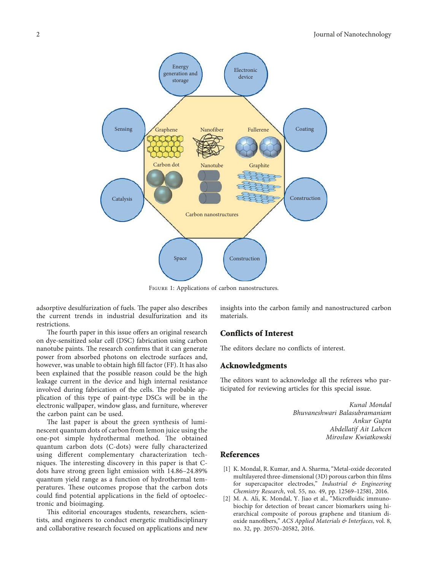<span id="page-1-0"></span>

Figure 1: Applications of carbon nanostructures.

adsorptive desulfurization of fuels. The paper also describes the current trends in industrial desulfurization and its restrictions.

The fourth paper in this issue offers an original research on dye-sensitized solar cell (DSC) fabrication using carbon nanotube paints. The research confirms that it can generate power from absorbed photons on electrode surfaces and, however, was unable to obtain high fill factor (FF). It has also been explained that the possible reason could be the high leakage current in the device and high internal resistance involved during fabrication of the cells. The probable application of this type of paint-type DSCs will be in the electronic wallpaper, window glass, and furniture, wherever the carbon paint can be used.

The last paper is about the green synthesis of luminescent quantum dots of carbon from lemon juice using the one-pot simple hydrothermal method. The obtained quantum carbon dots (C-dots) were fully characterized using different complementary characterization techniques. The interesting discovery in this paper is that Cdots have strong green light emission with 14.86–24.89% quantum yield range as a function of hydrothermal temperatures. These outcomes propose that the carbon dots could find potential applications in the field of optoelectronic and bioimaging.

This editorial encourages students, researchers, scientists, and engineers to conduct energetic multidisciplinary and collaborative research focused on applications and new insights into the carbon family and nanostructured carbon materials.

#### Conflicts of Interest

The editors declare no conflicts of interest.

#### Acknowledgments

The editors want to acknowledge all the referees who participated for reviewing articles for this special issue.

> Kunal Mondal Bhuvaneshwari Balasubramaniam Ankur Gupta Abdellatif Ait Lahcen Mirosław Kwiatkowski

### References

- [1] K. Mondal, R. Kumar, and A. Sharma, "Metal-oxide decorated multilayered three-dimensional (3D) porous carbon thin films for supercapacitor electrodes," Industrial & Engineering Chemistry Research, vol. 55, no. 49, pp. 12569–12581, 2016.
- [2] M. A. Ali, K. Mondal, Y. Jiao et al., "Microfluidic immunobiochip for detection of breast cancer biomarkers using hierarchical composite of porous graphene and titanium dioxide nanofibers," ACS Applied Materials & Interfaces, vol. 8, no. 32, pp. 20570–20582, 2016.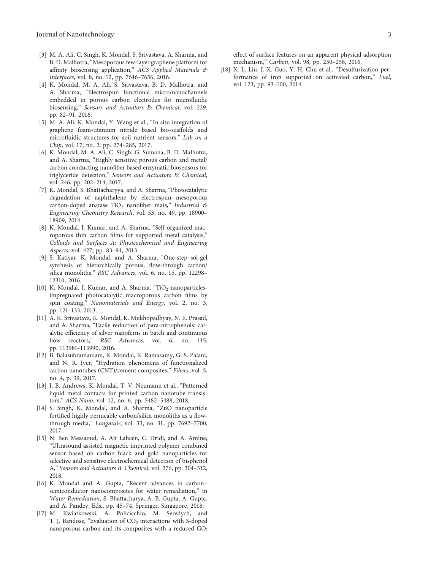- <span id="page-2-0"></span>[3] M. A. Ali, C. Singh, K. Mondal, S. Srivastava, A. Sharma, and B. D. Malhotra, "Mesoporous few-layer graphene platform for affinity biosensing application," ACS Applied Materials & Interfaces, vol. 8, no. 12, pp. 7646–7656, 2016.
- [4] K. Mondal, M. A. Ali, S. Srivastava, B. D. Malhotra, and A. Sharma, "Electrospun functional micro/nanochannels embedded in porous carbon electrodes for microfluidic biosensing," Sensors and Actuators B: Chemical, vol. 229, pp. 82–91, 2016.
- [5] M. A. Ali, K. Mondal, Y. Wang et al., "In situ integration of graphene foam-titanium nitride based bio-scaffolds and microfluidic structures for soil nutrient sensors," Lab on a Chip, vol. 17, no. 2, pp. 274–285, 2017.
- [6] K. Mondal, M. A. Ali, C. Singh, G. Sumana, B. D. Malhotra, and A. Sharma, "Highly sensitive porous carbon and metal/ carbon conducting nanofiber based enzymatic biosensors for triglyceride detection," Sensors and Actuators B: Chemical, vol. 246, pp. 202–214, 2017.
- [7] K. Mondal, S. Bhattacharyya, and A. Sharma, "Photocatalytic degradation of naphthalene by electrospun mesoporous carbon-doped anatase TiO<sub>2</sub> nanofiber mats," Industrial  $\mathfrak{G}$ Engineering Chemistry Research, vol. 53, no. 49, pp. 18900– 18909, 2014.
- [8] K. Mondal, J. Kumar, and A. Sharma, "Self-organized macroporous thin carbon films for supported metal catalysis," Colloids and Surfaces A: Physicochemical and Engineering Aspects, vol. 427, pp. 83–94, 2013.
- [9] S. Katiyar, K. Mondal, and A. Sharma, "One-step sol-gel synthesis of hierarchically porous, flow-through carbon/ silica monoliths," RSC Advances, vol. 6, no. 15, pp. 12298– 12310, 2016.
- [10] K. Mondal, J. Kumar, and A. Sharma, "TiO<sub>2</sub>-nanoparticlesimpregnated photocatalytic macroporous carbon films by spin coating," Nanomaterials and Energy, vol. 2, no. 3, pp. 121–133, 2013.
- [11] A. K. Srivastava, K. Mondal, K. Mukhopadhyay, N. E. Prasad, and A. Sharma, "Facile reduction of para-nitrophenols: catalytic efficiency of silver nanoferns in batch and continuous flow reactors," RSC Advances, vol. 6, no. 115, pp. 113981–113990, 2016.
- [12] B. Balasubramaniam, K. Mondal, K. Ramasamy, G. S. Palani, and N. R. Iyer, "Hydration phenomena of functionalized carbon nanotubes (CNT)/cement composites," Fibers, vol. 5, no. 4, p. 39, 2017.
- [13] J. B. Andrews, K. Mondal, T. V. Neumann et al., "Patterned liquid metal contacts for printed carbon nanotube transistors," ACS Nano, vol. 12, no. 6, pp. 5482–5488, 2018.
- [14] S. Singh, K. Mondal, and A. Sharma, "ZnO nanoparticle fortified highly permeable carbon/silica monoliths as a flowthrough media," Langmuir, vol. 33, no. 31, pp. 7692–7700, 2017.
- [15] N. Ben Messaoud, A. Ait Lahcen, C. Dridi, and A. Amine, "Ultrasound assisted magnetic imprinted polymer combined sensor based on carbon black and gold nanoparticles for selective and sensitive electrochemical detection of bisphenol A," Sensors and Actuators B: Chemical, vol. 276, pp. 304–312, 2018.
- [16] K. Mondal and A. Gupta, "Recent advances in carbon– semiconductor nanocomposites for water remediation," in Water Remediation, S. Bhattacharya, A. B. Gupta, A. Gupta, and A. Pandey, Eds., pp. 45–74, Springer, Singapore, 2018.
- [17] M. Kwiatkowski, A. Policicchio, M. Seredych, and T. J. Bandosz, "Evaluation of CO<sub>2</sub> interactions with S-doped nanoporous carbon and its composites with a reduced GO:

[18] X.-L. Liu, J.-X. Guo, Y.-H. Chu et al., "Desulfurization performance of iron supported on activated carbon," Fuel, vol. 123, pp. 93–100, 2014.